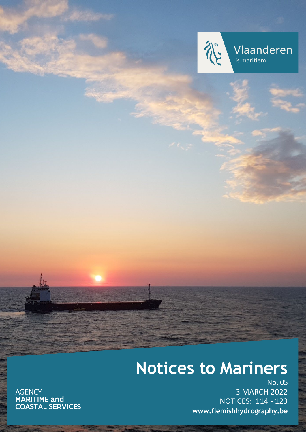

Vlaanderen is maritiem

# **Notices to Mariners**

AGENCY<br>**MARITIME and<br>COASTAL SERVICES** 

No. 05 3 MARCH 2022 NOTICES: 114 - 123 **[www.flemishhydrography.be](http://www.flemishhydrography.be/)**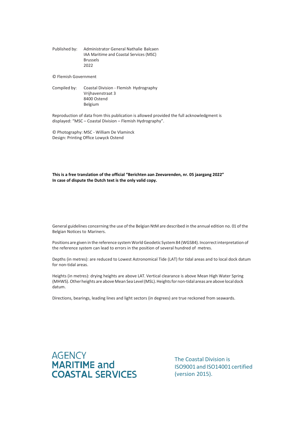Published by: Administrator General Nathalie Balcaen IAA Maritime and Coastal Services (MSC) Brussels 2022

© Flemish Government

Compiled by: Coastal Division - Flemish Hydrography Vrijhavenstraat 3 8400 Ostend Belgium

Reproduction of data from this publication is allowed provided the full acknowledgment is displayed: "MSC – Coastal Division – Flemish Hydrography".

© Photography: MSC - William De Vlaminck Design: Printing Office Lowyck Ostend

**This is a free translation of the official "Berichten aan Zeevarenden, nr. 05 jaargang 2022" In case of dispute the Dutch text is the only valid copy.**

General guidelines concerning the use of the Belgian NtM are described in the annual edition no. 01 of the Belgian Notices to Mariners.

Positions are given in the reference system World Geodetic System 84 (WGS84). Incorrect interpretation of the reference system can lead to errors in the position of several hundred of metres.

Depths (in metres): are reduced to Lowest Astronomical Tide (LAT) for tidal areas and to local dock datum for non-tidal areas.

Heights (in metres): drying heights are above LAT. Vertical clearance is above Mean High Water Spring (MHWS). Other heights are above Mean Sea Level (MSL). Heights for non-tidal areas are above local dock datum.

Directions, bearings, leading lines and light sectors (in degrees) are true reckoned from seawards.



The Coastal Division is ISO9001 and ISO14001 certified (version 2015).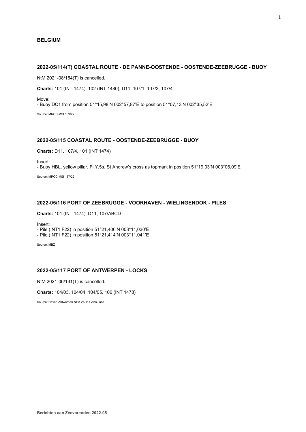## **BELGIUM**

# **2022-05/114(T) COASTAL ROUTE - DE PANNE-OOSTENDE - OOSTENDE-ZEEBRUGGE - BUOY**

NtM 2021-08/154(T) is cancelled.

**Charts:** 101 (INT 1474), 102 (INT 1480), D11, 107/1, 107/3, 107/4

Move: - Buoy DC1 from position 51°15,98'N 002°57,87'E to position 51°07,13'N 002°35,52'E

Source: MRCC MSI 189/22

## **2022-05/115 COASTAL ROUTE - OOSTENDE-ZEEBRUGGE - BUOY**

**Charts:** D11, 107/4, 101 (INT 1474)

Insert:

- Buoy HBL, yellow pillar, Fl.Y.5s, St Andrew's cross as topmark in position 51°19,03'N 003°06,09'E Source: MRCC MSI 187/22

# **2022-05/116 PORT OF ZEEBRUGGE - VOORHAVEN - WIELINGENDOK - PILES**

**Charts:** 101 (INT 1474), D11, 107/ABCD

Insert:

- Pile (INT1 F22) in position 51°21,406'N 003°11,030'E

- Pile (INT1 F22) in position 51°21,414'N 003°11,041'E

Source: MBZ

## **2022-05/117 PORT OF ANTWERPEN - LOCKS**

NtM 2021-06/131(T) is cancelled.

**Charts:** 104/03, 104/04, 104/05, 106 (INT 1478)

Source: Haven Antwerpen NPA 21/111 Annulatie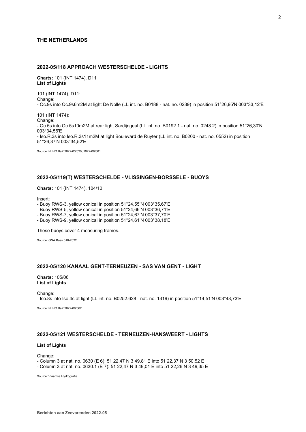## **THE NETHERLANDS**

# **2022-05/118 APPROACH WESTERSCHELDE - LIGHTS**

**Charts:** 101 (INT 1474), D11 **List of Lights**

101 (INT 1474), D11: Change: - Oc.9s into Oc.9s6m2M at light De Nolle (LL int. no. B0188 - nat. no. 0239) in position 51°26,95'N 003°33,12'E

101 (INT 1474):

Change: - Oc.5s into Oc.5s10m2M at rear light Sardijngeul (LL int. no. B0192.1 - nat. no. 0248.2) in position 51°26,30'N 003°34,56'E - Iso.R.3s into Iso.R.3s11m2M at light Boulevard de Ruyter (LL int. no. B0200 - nat. no. 0552) in position 51°26,37'N 003°34,52'E

Source: NLHO BaZ 2022-03/020, 2022-08/061

## **2022-05/119(T) WESTERSCHELDE - VLISSINGEN-BORSSELE - BUOYS**

**Charts:** 101 (INT 1474), 104/10

Insert:

- Buoy RWS-3, yellow conical in position 51°24,55'N 003°35,67'E

- Buoy RWS-5, yellow conical in position 51°24,66'N 003°36,71'E

- Buoy RWS-7, yellow conical in position 51°24,67'N 003°37,70'E

- Buoy RWS-9, yellow conical in position 51°24,61'N 003°38,18'E

These buoys cover 4 measuring frames.

Source: GNA Bass 018-2022

# **2022-05/120 KANAAL GENT-TERNEUZEN - SAS VAN GENT - LIGHT**

**Charts:** 105/06 **List of Lights**

Change: - Iso.8s into Iso.4s at light (LL int. no. B0252.628 - nat. no. 1319) in position 51°14,51'N 003°48,73'E

Source: NLHO BaZ 2022-08/062

# **2022-05/121 WESTERSCHELDE - TERNEUZEN-HANSWEERT - LIGHTS**

## **List of Lights**

Change:

- Column 3 at nat. no. 0630 (E 6): 51 22,47 N 3 49,81 E into 51 22,37 N 3 50,52 E

- Column 3 at nat. no. 0630.1 (E 7): 51 22,47 N 3 49,01 E into 51 22,26 N 3 49,35 E

Source: Vlaamse Hydrografie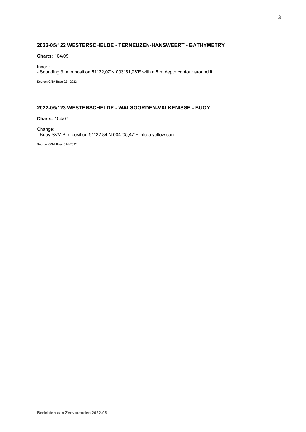# **2022-05/122 WESTERSCHELDE - TERNEUZEN-HANSWEERT - BATHYMETRY**

**Charts:** 104/09

Insert: - Sounding 3 m in position 51°22,07'N 003°51,28'E with a 5 m depth contour around it

Source: GNA Bass 021-2022

# **2022-05/123 WESTERSCHELDE - WALSOORDEN-VALKENISSE - BUOY**

**Charts:** 104/07

Change: - Buoy SVV-B in position 51°22,84'N 004°05,47'E into a yellow can

Source: GNA Bass 014-2022